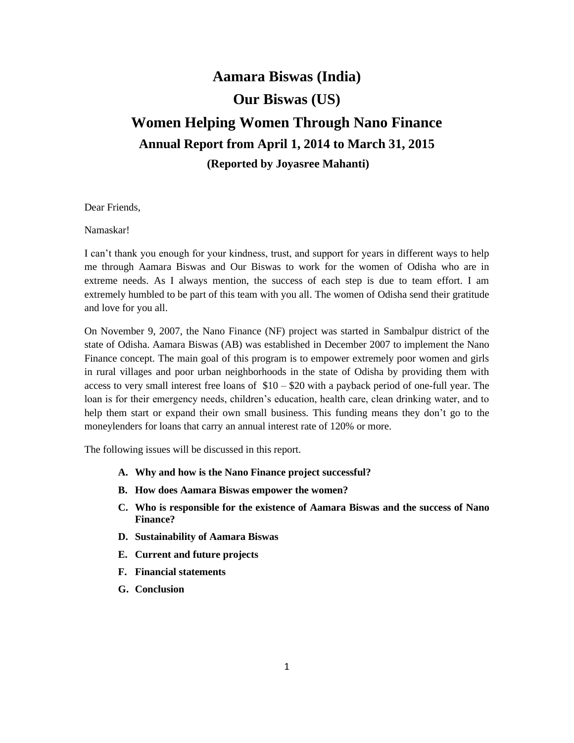# **Aamara Biswas (India) Our Biswas (US) Women Helping Women Through Nano Finance Annual Report from April 1, 2014 to March 31, 2015 (Reported by Joyasree Mahanti)**

Dear Friends,

Namaskar!

I can't thank you enough for your kindness, trust, and support for years in different ways to help me through Aamara Biswas and Our Biswas to work for the women of Odisha who are in extreme needs. As I always mention, the success of each step is due to team effort. I am extremely humbled to be part of this team with you all. The women of Odisha send their gratitude and love for you all.

On November 9, 2007, the Nano Finance (NF) project was started in Sambalpur district of the state of Odisha. Aamara Biswas (AB) was established in December 2007 to implement the Nano Finance concept. The main goal of this program is to empower extremely poor women and girls in rural villages and poor urban neighborhoods in the state of Odisha by providing them with access to very small interest free loans of  $$10 - $20$  with a payback period of one-full year. The loan is for their emergency needs, children's education, health care, clean drinking water, and to help them start or expand their own small business. This funding means they don't go to the moneylenders for loans that carry an annual interest rate of 120% or more.

The following issues will be discussed in this report.

- **A. Why and how is the Nano Finance project successful?**
- **B. How does Aamara Biswas empower the women?**
- **C. Who is responsible for the existence of Aamara Biswas and the success of Nano Finance?**
- **D. Sustainability of Aamara Biswas**
- **E. Current and future projects**
- **F. Financial statements**
- **G. Conclusion**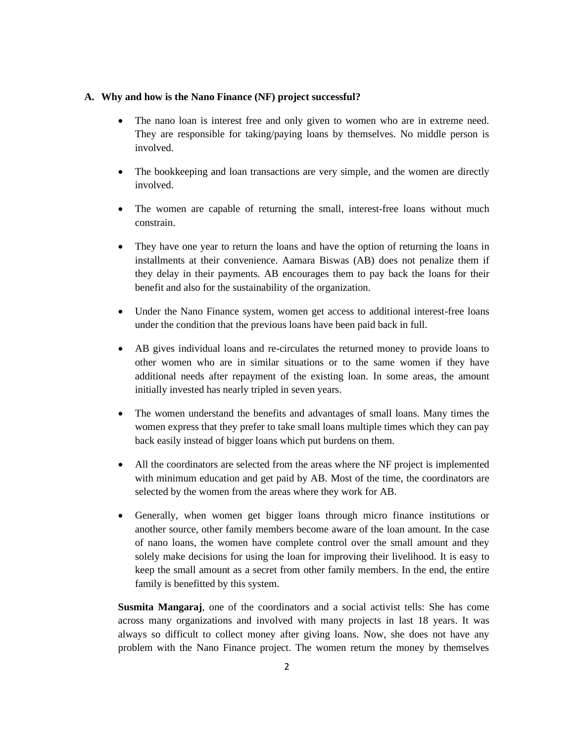#### **A. Why and how is the Nano Finance (NF) project successful?**

- The nano loan is interest free and only given to women who are in extreme need. They are responsible for taking/paying loans by themselves. No middle person is involved.
- The bookkeeping and loan transactions are very simple, and the women are directly involved.
- The women are capable of returning the small, interest-free loans without much constrain.
- They have one year to return the loans and have the option of returning the loans in installments at their convenience. Aamara Biswas (AB) does not penalize them if they delay in their payments. AB encourages them to pay back the loans for their benefit and also for the sustainability of the organization.
- Under the Nano Finance system, women get access to additional interest-free loans under the condition that the previous loans have been paid back in full.
- AB gives individual loans and re-circulates the returned money to provide loans to other women who are in similar situations or to the same women if they have additional needs after repayment of the existing loan. In some areas, the amount initially invested has nearly tripled in seven years.
- The women understand the benefits and advantages of small loans. Many times the women express that they prefer to take small loans multiple times which they can pay back easily instead of bigger loans which put burdens on them.
- All the coordinators are selected from the areas where the NF project is implemented with minimum education and get paid by AB. Most of the time, the coordinators are selected by the women from the areas where they work for AB.
- Generally, when women get bigger loans through micro finance institutions or another source, other family members become aware of the loan amount. In the case of nano loans, the women have complete control over the small amount and they solely make decisions for using the loan for improving their livelihood. It is easy to keep the small amount as a secret from other family members. In the end, the entire family is benefitted by this system.

**Susmita Mangaraj**, one of the coordinators and a social activist tells: She has come across many organizations and involved with many projects in last 18 years. It was always so difficult to collect money after giving loans. Now, she does not have any problem with the Nano Finance project. The women return the money by themselves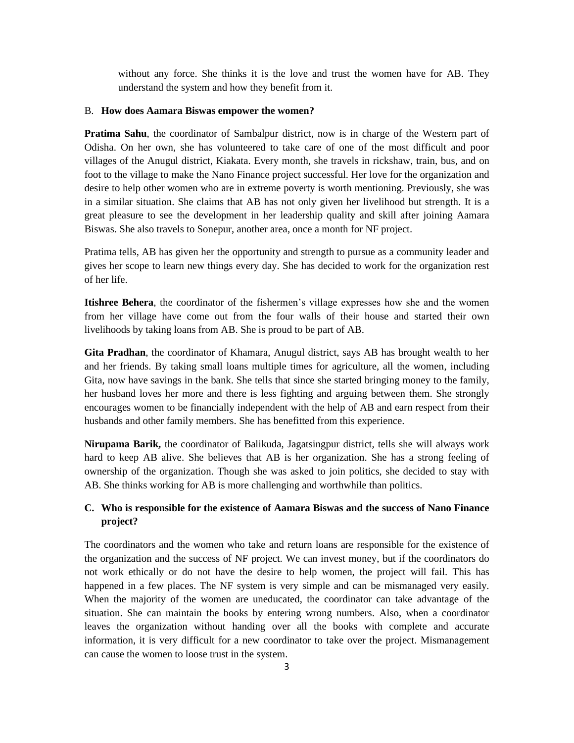without any force. She thinks it is the love and trust the women have for AB. They understand the system and how they benefit from it.

#### B. **How does Aamara Biswas empower the women?**

**Pratima Sahu**, the coordinator of Sambalpur district, now is in charge of the Western part of Odisha. On her own, she has volunteered to take care of one of the most difficult and poor villages of the Anugul district, Kiakata. Every month, she travels in rickshaw, train, bus, and on foot to the village to make the Nano Finance project successful. Her love for the organization and desire to help other women who are in extreme poverty is worth mentioning. Previously, she was in a similar situation. She claims that AB has not only given her livelihood but strength. It is a great pleasure to see the development in her leadership quality and skill after joining Aamara Biswas. She also travels to Sonepur, another area, once a month for NF project.

Pratima tells, AB has given her the opportunity and strength to pursue as a community leader and gives her scope to learn new things every day. She has decided to work for the organization rest of her life.

**Itishree Behera**, the coordinator of the fishermen's village expresses how she and the women from her village have come out from the four walls of their house and started their own livelihoods by taking loans from AB. She is proud to be part of AB.

**Gita Pradhan**, the coordinator of Khamara, Anugul district, says AB has brought wealth to her and her friends. By taking small loans multiple times for agriculture, all the women, including Gita, now have savings in the bank. She tells that since she started bringing money to the family, her husband loves her more and there is less fighting and arguing between them. She strongly encourages women to be financially independent with the help of AB and earn respect from their husbands and other family members. She has benefitted from this experience.

**Nirupama Barik,** the coordinator of Balikuda, Jagatsingpur district, tells she will always work hard to keep AB alive. She believes that AB is her organization. She has a strong feeling of ownership of the organization. Though she was asked to join politics, she decided to stay with AB. She thinks working for AB is more challenging and worthwhile than politics.

# **C. Who is responsible for the existence of Aamara Biswas and the success of Nano Finance project?**

The coordinators and the women who take and return loans are responsible for the existence of the organization and the success of NF project. We can invest money, but if the coordinators do not work ethically or do not have the desire to help women, the project will fail. This has happened in a few places. The NF system is very simple and can be mismanaged very easily. When the majority of the women are uneducated, the coordinator can take advantage of the situation. She can maintain the books by entering wrong numbers. Also, when a coordinator leaves the organization without handing over all the books with complete and accurate information, it is very difficult for a new coordinator to take over the project. Mismanagement can cause the women to loose trust in the system.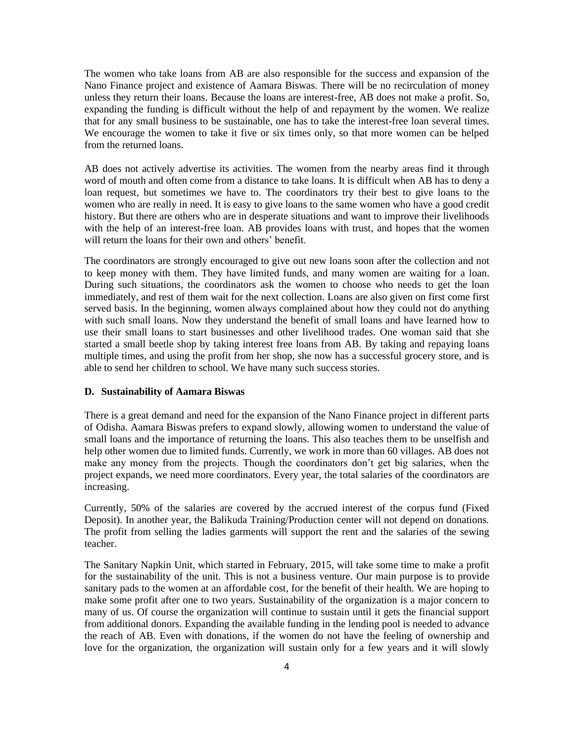The women who take loans from AB are also responsible for the success and expansion of the Nano Finance project and existence of Aamara Biswas. There will be no recirculation of money unless they return their loans. Because the loans are interest-free, AB does not make a profit. So, expanding the funding is difficult without the help of and repayment by the women. We realize that for any small business to be sustainable, one has to take the interest-free loan several times. We encourage the women to take it five or six times only, so that more women can be helped from the returned loans.

AB does not actively advertise its activities. The women from the nearby areas find it through word of mouth and often come from a distance to take loans. It is difficult when AB has to deny a loan request, but sometimes we have to. The coordinators try their best to give loans to the women who are really in need. It is easy to give loans to the same women who have a good credit history. But there are others who are in desperate situations and want to improve their livelihoods with the help of an interest-free loan. AB provides loans with trust, and hopes that the women will return the loans for their own and others' benefit.

The coordinators are strongly encouraged to give out new loans soon after the collection and not to keep money with them. They have limited funds, and many women are waiting for a loan. During such situations, the coordinators ask the women to choose who needs to get the loan immediately, and rest of them wait for the next collection. Loans are also given on first come first served basis. In the beginning, women always complained about how they could not do anything with such small loans. Now they understand the benefit of small loans and have learned how to use their small loans to start businesses and other livelihood trades. One woman said that she started a small beetle shop by taking interest free loans from AB. By taking and repaying loans multiple times, and using the profit from her shop, she now has a successful grocery store, and is able to send her children to school. We have many such success stories.

### **D. Sustainability of Aamara Biswas**

There is a great demand and need for the expansion of the Nano Finance project in different parts of Odisha. Aamara Biswas prefers to expand slowly, allowing women to understand the value of small loans and the importance of returning the loans. This also teaches them to be unselfish and help other women due to limited funds. Currently, we work in more than 60 villages. AB does not make any money from the projects. Though the coordinators don't get big salaries, when the project expands, we need more coordinators. Every year, the total salaries of the coordinators are increasing.

Currently, 50% of the salaries are covered by the accrued interest of the corpus fund (Fixed Deposit). In another year, the Balikuda Training/Production center will not depend on donations. The profit from selling the ladies garments will support the rent and the salaries of the sewing teacher.

The Sanitary Napkin Unit, which started in February, 2015, will take some time to make a profit for the sustainability of the unit. This is not a business venture. Our main purpose is to provide sanitary pads to the women at an affordable cost, for the benefit of their health. We are hoping to make some profit after one to two years. Sustainability of the organization is a major concern to many of us. Of course the organization will continue to sustain until it gets the financial support from additional donors. Expanding the available funding in the lending pool is needed to advance the reach of AB. Even with donations, if the women do not have the feeling of ownership and love for the organization, the organization will sustain only for a few years and it will slowly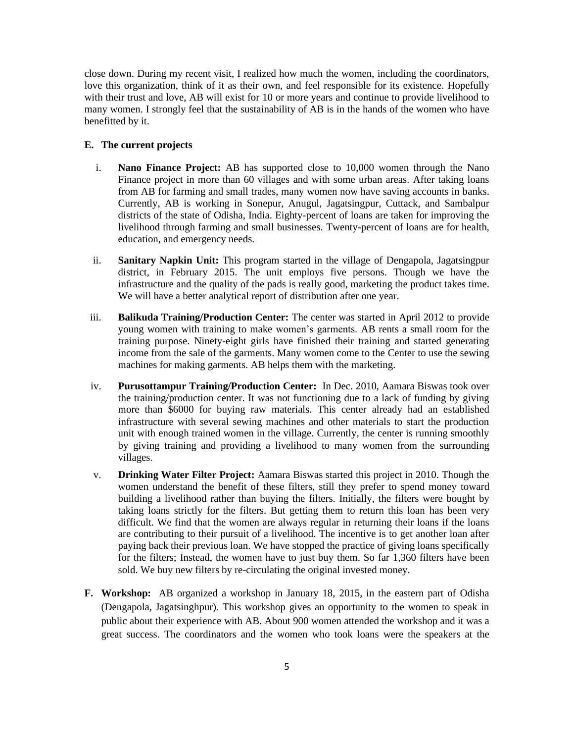close down. During my recent visit, I realized how much the women, including the coordinators, love this organization, think of it as their own, and feel responsible for its existence. Hopefully with their trust and love, AB will exist for 10 or more years and continue to provide livelihood to many women. I strongly feel that the sustainability of AB is in the hands of the women who have benefitted by it.

# **E. The current projects**

- i. **Nano Finance Project:** AB has supported close to 10,000 women through the Nano Finance project in more than 60 villages and with some urban areas. After taking loans from AB for farming and small trades, many women now have saving accounts in banks. Currently, AB is working in Sonepur, Anugul, Jagatsingpur, Cuttack, and Sambalpur districts of the state of Odisha, India. Eighty-percent of loans are taken for improving the livelihood through farming and small businesses. Twenty-percent of loans are for health, education, and emergency needs.
- ii. **Sanitary Napkin Unit:** This program started in the village of Dengapola, Jagatsingpur district, in February 2015. The unit employs five persons. Though we have the infrastructure and the quality of the pads is really good, marketing the product takes time. We will have a better analytical report of distribution after one year.
- iii. **Balikuda Training/Production Center:** The center was started in April 2012 to provide young women with training to make women's garments. AB rents a small room for the training purpose. Ninety-eight girls have finished their training and started generating income from the sale of the garments. Many women come to the Center to use the sewing machines for making garments. AB helps them with the marketing.
- iv. **Purusottampur Training/Production Center:** In Dec. 2010, Aamara Biswas took over the training/production center. It was not functioning due to a lack of funding by giving more than \$6000 for buying raw materials. This center already had an established infrastructure with several sewing machines and other materials to start the production unit with enough trained women in the village. Currently, the center is running smoothly by giving training and providing a livelihood to many women from the surrounding villages.
- v. **Drinking Water Filter Project:** Aamara Biswas started this project in 2010. Though the women understand the benefit of these filters, still they prefer to spend money toward building a livelihood rather than buying the filters. Initially, the filters were bought by taking loans strictly for the filters. But getting them to return this loan has been very difficult. We find that the women are always regular in returning their loans if the loans are contributing to their pursuit of a livelihood. The incentive is to get another loan after paying back their previous loan. We have stopped the practice of giving loans specifically for the filters; Instead, the women have to just buy them. So far 1,360 filters have been sold. We buy new filters by re-circulating the original invested money.
- **F. Workshop:** AB organized a workshop in January 18, 2015, in the eastern part of Odisha (Dengapola, Jagatsinghpur). This workshop gives an opportunity to the women to speak in public about their experience with AB. About 900 women attended the workshop and it was a great success. The coordinators and the women who took loans were the speakers at the